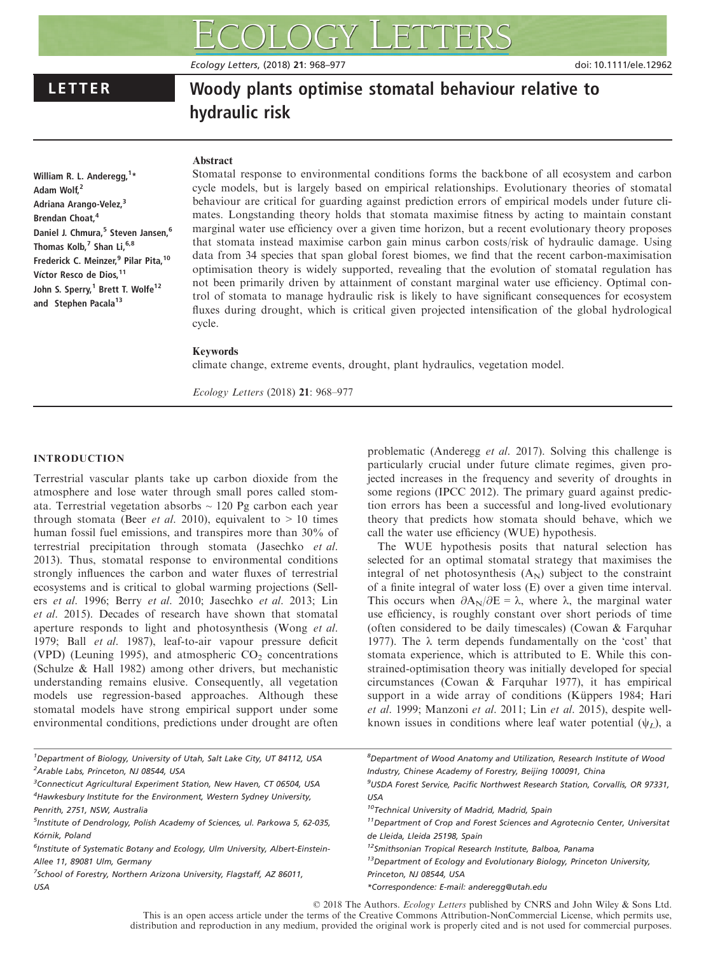Ecology Letters, (2018) 21: 968–977 doi: 10.1111/ele.12962

# LETTER Woody plants optimise stomatal behaviour relative to hydraulic risk

# Abstract

William R. L. Anderegg, <sup>1</sup>\* Adam Wolf,<sup>2</sup> Adriana Arango-Velez,<sup>3</sup> Brendan Choat,<sup>4</sup> Daniel J. Chmura,<sup>5</sup> Steven Jansen,<sup>6</sup> Thomas Kolb,<sup>7</sup> Shan Li,<sup>6,8</sup> Frederick C. Meinzer.<sup>9</sup> Pilar Pita.<sup>10</sup> Víctor Resco de Dios, 11 John S. Sperry,<sup>1</sup> Brett T. Wolfe<sup>12</sup> and Stephen Pacala<sup>13</sup>

Stomatal response to environmental conditions forms the backbone of all ecosystem and carbon cycle models, but is largely based on empirical relationships. Evolutionary theories of stomatal behaviour are critical for guarding against prediction errors of empirical models under future climates. Longstanding theory holds that stomata maximise fitness by acting to maintain constant marginal water use efficiency over a given time horizon, but a recent evolutionary theory proposes that stomata instead maximise carbon gain minus carbon costs/risk of hydraulic damage. Using data from 34 species that span global forest biomes, we find that the recent carbon-maximisation optimisation theory is widely supported, revealing that the evolution of stomatal regulation has not been primarily driven by attainment of constant marginal water use efficiency. Optimal control of stomata to manage hydraulic risk is likely to have significant consequences for ecosystem fluxes during drought, which is critical given projected intensification of the global hydrological cycle.

# Keywords

climate change, extreme events, drought, plant hydraulics, vegetation model.

Ecology Letters (2018) 21: 968–977

# INTRODUCTION

Terrestrial vascular plants take up carbon dioxide from the atmosphere and lose water through small pores called stomata. Terrestrial vegetation absorbs  $\sim$  120 Pg carbon each year through stomata (Beer *et al.* 2010), equivalent to  $> 10$  times human fossil fuel emissions, and transpires more than 30% of terrestrial precipitation through stomata (Jasechko et al. 2013). Thus, stomatal response to environmental conditions strongly influences the carbon and water fluxes of terrestrial ecosystems and is critical to global warming projections (Sellers et al. 1996; Berry et al. 2010; Jasechko et al. 2013; Lin et al. 2015). Decades of research have shown that stomatal aperture responds to light and photosynthesis (Wong et al. 1979; Ball et al. 1987), leaf-to-air vapour pressure deficit (VPD) (Leuning 1995), and atmospheric  $CO<sub>2</sub>$  concentrations (Schulze & Hall 1982) among other drivers, but mechanistic understanding remains elusive. Consequently, all vegetation models use regression-based approaches. Although these stomatal models have strong empirical support under some environmental conditions, predictions under drought are often

problematic (Anderegg et al. 2017). Solving this challenge is particularly crucial under future climate regimes, given projected increases in the frequency and severity of droughts in some regions (IPCC 2012). The primary guard against prediction errors has been a successful and long-lived evolutionary theory that predicts how stomata should behave, which we call the water use efficiency (WUE) hypothesis.

The WUE hypothesis posits that natural selection has selected for an optimal stomatal strategy that maximises the integral of net photosynthesis  $(A_N)$  subject to the constraint of a finite integral of water loss (E) over a given time interval. This occurs when  $\partial A_N/\partial E = \lambda$ , where  $\lambda$ , the marginal water use efficiency, is roughly constant over short periods of time (often considered to be daily timescales) (Cowan & Farquhar 1977). The  $\lambda$  term depends fundamentally on the 'cost' that stomata experience, which is attributed to E. While this constrained-optimisation theory was initially developed for special circumstances (Cowan & Farquhar 1977), it has empirical support in a wide array of conditions (Küppers 1984; Hari et al. 1999; Manzoni et al. 2011; Lin et al. 2015), despite wellknown issues in conditions where leaf water potential  $(\psi_L)$ , a

| <sup>1</sup> Department of Biology, University of Utah, Salt Lake City, UT 84112, USA     | <sup>8</sup> Department of Wood Anatomy and Utilization, Research Institute of Wood        |
|-------------------------------------------------------------------------------------------|--------------------------------------------------------------------------------------------|
| <sup>2</sup> Arable Labs, Princeton, NJ 08544, USA                                        | Industry, Chinese Academy of Forestry, Beijing 100091, China                               |
| <sup>3</sup> Connecticut Agricultural Experiment Station, New Haven, CT 06504, USA        | <sup>9</sup> USDA Forest Service, Pacific Northwest Research Station, Corvallis, OR 97331, |
| <sup>4</sup> Hawkesbury Institute for the Environment, Western Sydney University,         | USA                                                                                        |
| Penrith, 2751, NSW, Australia                                                             | <sup>10</sup> Technical University of Madrid, Madrid, Spain                                |
| <sup>5</sup> Institute of Dendrology, Polish Academy of Sciences, ul. Parkowa 5, 62-035,  | <sup>11</sup> Department of Crop and Forest Sciences and Agrotecnio Center, Universitat    |
| Kórnik, Poland                                                                            | de Lleida, Lleida 25198, Spain                                                             |
| <sup>6</sup> Institute of Systematic Botany and Ecology, Ulm University, Albert-Einstein- | <sup>12</sup> Smithsonian Tropical Research Institute, Balboa, Panama                      |
| Allee 11, 89081 Ulm, Germany                                                              | <sup>13</sup> Department of Ecology and Evolutionary Biology, Princeton University,        |
| <sup>7</sup> School of Forestry, Northern Arizona University, Flagstaff, AZ 86011,        | Princeton, NJ 08544, USA                                                                   |
| <b>USA</b>                                                                                | *Correspondence: E-mail: anderegg@utah.edu                                                 |

© 2018 The Authors. Ecology Letters published by CNRS and John Wiley & Sons Ltd. This is an open access article under the terms of the [Creative Commons Attribution-NonCommercial](http://creativecommons.org/licenses/by-nc/4.0/) License, which permits use, distribution and reproduction in any medium, provided the original work is properly cited and is not used for commercial purposes.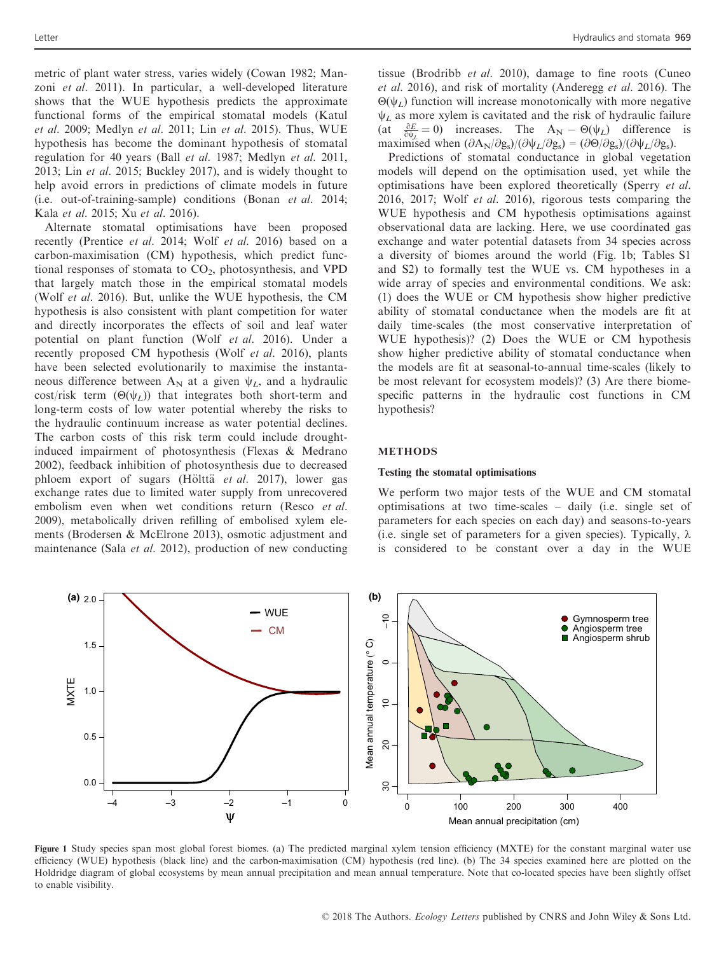metric of plant water stress, varies widely (Cowan 1982; Manzoni et al. 2011). In particular, a well-developed literature shows that the WUE hypothesis predicts the approximate functional forms of the empirical stomatal models (Katul et al. 2009; Medlyn et al. 2011; Lin et al. 2015). Thus, WUE hypothesis has become the dominant hypothesis of stomatal regulation for 40 years (Ball et al. 1987; Medlyn et al. 2011, 2013; Lin et al. 2015; Buckley 2017), and is widely thought to help avoid errors in predictions of climate models in future (i.e. out-of-training-sample) conditions (Bonan et al. 2014; Kala et al. 2015; Xu et al. 2016).

Alternate stomatal optimisations have been proposed recently (Prentice et al. 2014; Wolf et al. 2016) based on a carbon-maximisation (CM) hypothesis, which predict functional responses of stomata to  $CO<sub>2</sub>$ , photosynthesis, and VPD that largely match those in the empirical stomatal models (Wolf et al. 2016). But, unlike the WUE hypothesis, the CM hypothesis is also consistent with plant competition for water and directly incorporates the effects of soil and leaf water potential on plant function (Wolf et al. 2016). Under a recently proposed CM hypothesis (Wolf et al. 2016), plants have been selected evolutionarily to maximise the instantaneous difference between  $A_N$  at a given  $\psi_L$ , and a hydraulic cost/risk term  $(\Theta(\psi_L))$  that integrates both short-term and long-term costs of low water potential whereby the risks to the hydraulic continuum increase as water potential declines. The carbon costs of this risk term could include droughtinduced impairment of photosynthesis (Flexas & Medrano 2002), feedback inhibition of photosynthesis due to decreased phloem export of sugars (Hölttä *et al.* 2017), lower gas exchange rates due to limited water supply from unrecovered embolism even when wet conditions return (Resco et al. 2009), metabolically driven refilling of embolised xylem elements (Brodersen & McElrone 2013), osmotic adjustment and maintenance (Sala et al. 2012), production of new conducting tissue (Brodribb et al. 2010), damage to fine roots (Cuneo et al. 2016), and risk of mortality (Anderegg et al. 2016). The  $Θ(ψ<sub>L</sub>)$  function will increase monotonically with more negative  $\Psi_L$  as more xylem is cavitated and the risk of hydraulic failure (at  $\frac{\partial E}{\partial \psi_L} = 0$ ) increases. The  $A_N - \Theta(\psi_L)$  difference is maximised when  $(\partial A_N/\partial g_s)/(\partial \psi_L/\partial g_s) = (\partial \Theta/\partial g_s)/(\partial \psi_L/\partial g_s)$ .

Predictions of stomatal conductance in global vegetation models will depend on the optimisation used, yet while the optimisations have been explored theoretically (Sperry et al. 2016, 2017; Wolf et al. 2016), rigorous tests comparing the WUE hypothesis and CM hypothesis optimisations against observational data are lacking. Here, we use coordinated gas exchange and water potential datasets from 34 species across a diversity of biomes around the world (Fig. 1b; Tables S1 and S2) to formally test the WUE vs. CM hypotheses in a wide array of species and environmental conditions. We ask: (1) does the WUE or CM hypothesis show higher predictive ability of stomatal conductance when the models are fit at daily time-scales (the most conservative interpretation of WUE hypothesis)? (2) Does the WUE or CM hypothesis show higher predictive ability of stomatal conductance when the models are fit at seasonal-to-annual time-scales (likely to be most relevant for ecosystem models)? (3) Are there biomespecific patterns in the hydraulic cost functions in CM hypothesis?

#### METHODS

#### Testing the stomatal optimisations

We perform two major tests of the WUE and CM stomatal optimisations at two time-scales – daily (i.e. single set of parameters for each species on each day) and seasons-to-years (i.e. single set of parameters for a given species). Typically,  $\lambda$ is considered to be constant over a day in the WUE



Figure 1 Study species span most global forest biomes. (a) The predicted marginal xylem tension efficiency (MXTE) for the constant marginal water use efficiency (WUE) hypothesis (black line) and the carbon-maximisation (CM) hypothesis (red line). (b) The 34 species examined here are plotted on the Holdridge diagram of global ecosystems by mean annual precipitation and mean annual temperature. Note that co-located species have been slightly offset to enable visibility.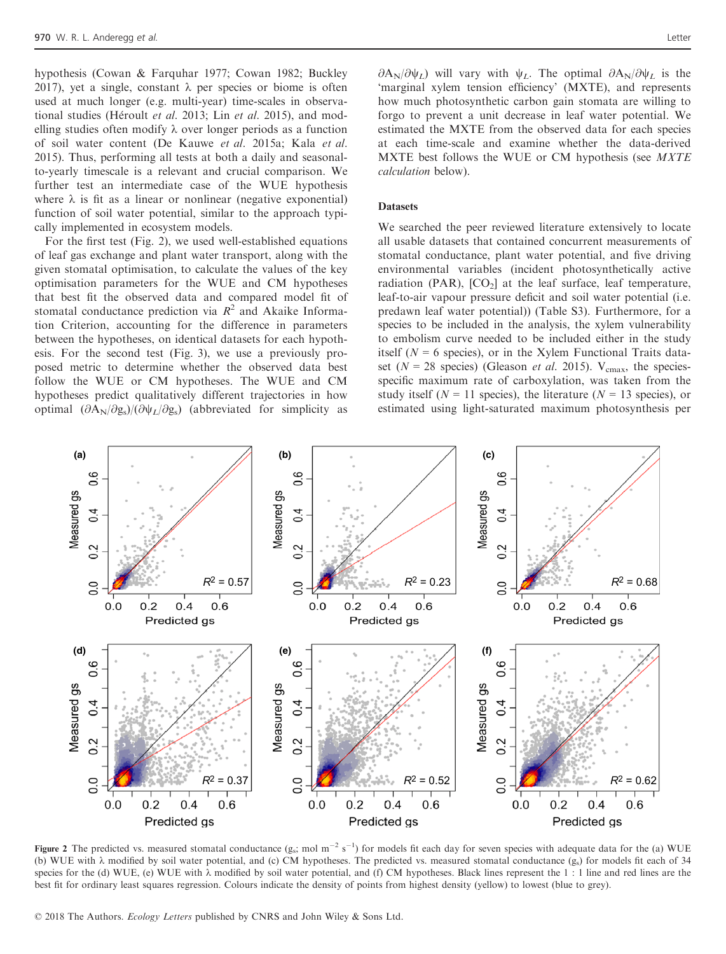hypothesis (Cowan & Farquhar 1977; Cowan 1982; Buckley 2017), yet a single, constant  $\lambda$  per species or biome is often used at much longer (e.g. multi-year) time-scales in observational studies (Héroult et al. 2013; Lin et al. 2015), and modelling studies often modify  $\lambda$  over longer periods as a function of soil water content (De Kauwe et al. 2015a; Kala et al. 2015). Thus, performing all tests at both a daily and seasonalto-yearly timescale is a relevant and crucial comparison. We further test an intermediate case of the WUE hypothesis where  $\lambda$  is fit as a linear or nonlinear (negative exponential) function of soil water potential, similar to the approach typically implemented in ecosystem models.

For the first test (Fig. 2), we used well-established equations of leaf gas exchange and plant water transport, along with the given stomatal optimisation, to calculate the values of the key optimisation parameters for the WUE and CM hypotheses that best fit the observed data and compared model fit of stomatal conductance prediction via  $R^2$  and Akaike Information Criterion, accounting for the difference in parameters between the hypotheses, on identical datasets for each hypothesis. For the second test (Fig. 3), we use a previously proposed metric to determine whether the observed data best follow the WUE or CM hypotheses. The WUE and CM hypotheses predict qualitatively different trajectories in how optimal  $(\partial A_N/\partial g_s)/(\partial \psi_L/\partial g_s)$  (abbreviated for simplicity as

 $\partial A_N/\partial \psi_L$ ) will vary with  $\psi_L$ . The optimal  $\partial A_N/\partial \psi_L$  is the 'marginal xylem tension efficiency' (MXTE), and represents how much photosynthetic carbon gain stomata are willing to forgo to prevent a unit decrease in leaf water potential. We estimated the MXTE from the observed data for each species at each time-scale and examine whether the data-derived MXTE best follows the WUE or CM hypothesis (see MXTE calculation below).

## **Datasets**

We searched the peer reviewed literature extensively to locate all usable datasets that contained concurrent measurements of stomatal conductance, plant water potential, and five driving environmental variables (incident photosynthetically active radiation (PAR),  $[CO_2]$  at the leaf surface, leaf temperature, leaf-to-air vapour pressure deficit and soil water potential (i.e. predawn leaf water potential)) (Table S3). Furthermore, for a species to be included in the analysis, the xylem vulnerability to embolism curve needed to be included either in the study itself ( $N = 6$  species), or in the Xylem Functional Traits dataset ( $N = 28$  species) (Gleason *et al.* 2015). V<sub>cmax</sub>, the speciesspecific maximum rate of carboxylation, was taken from the study itself ( $N = 11$  species), the literature ( $N = 13$  species), or estimated using light-saturated maximum photosynthesis per



Figure 2 The predicted vs. measured stomatal conductance  $(g_s; \text{mol m}^{-2} s^{-1})$  for models fit each day for seven species with adequate data for the (a) WUE (b) WUE with  $\lambda$  modified by soil water potential, and (c) CM hypotheses. The predicted vs. measured stomatal conductance (gs) for models fit each of 34 species for the (d) WUE, (e) WUE with  $\lambda$  modified by soil water potential, and (f) CM hypotheses. Black lines represent the 1 : 1 line and red lines are the best fit for ordinary least squares regression. Colours indicate the density of points from highest density (yellow) to lowest (blue to grey).

© 2018 The Authors. Ecology Letters published by CNRS and John Wiley & Sons Ltd.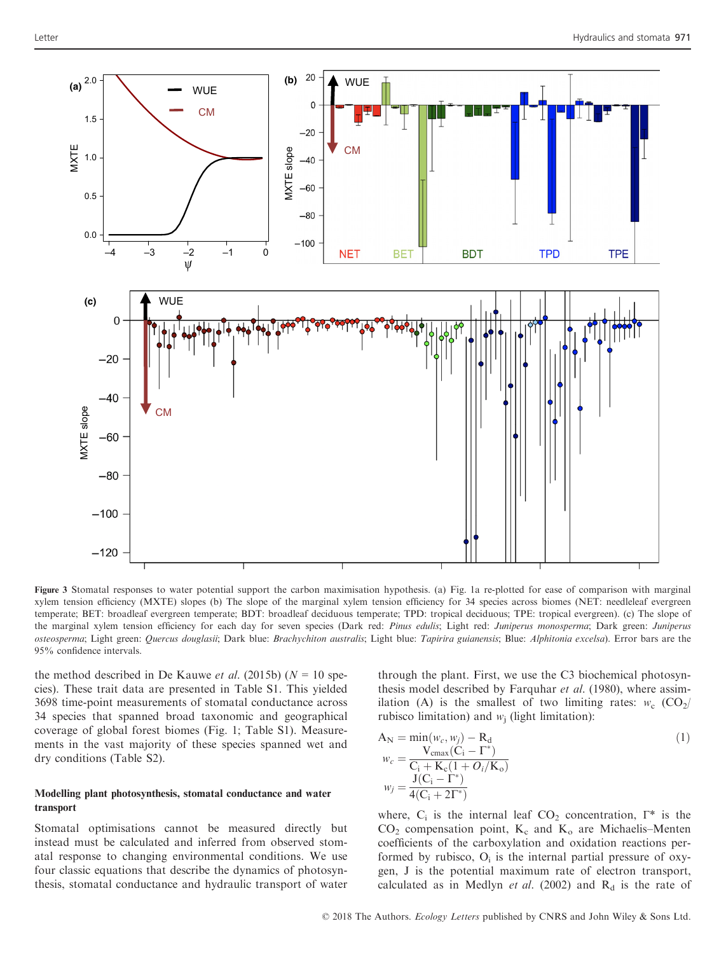

Figure 3 Stomatal responses to water potential support the carbon maximisation hypothesis. (a) Fig. 1a re-plotted for ease of comparison with marginal xylem tension efficiency (MXTE) slopes (b) The slope of the marginal xylem tension efficiency for 34 species across biomes (NET: needleleaf evergreen temperate; BET: broadleaf evergreen temperate; BDT: broadleaf deciduous temperate; TPD: tropical deciduous; TPE: tropical evergreen). (c) The slope of the marginal xylem tension efficiency for each day for seven species (Dark red: Pinus edulis; Light red: Juniperus monosperma; Dark green: Juniperus osteosperma; Light green: Quercus douglasii; Dark blue: Brachychiton australis; Light blue: Tapirira guianensis; Blue: Alphitonia excelsa). Error bars are the 95% confidence intervals.

the method described in De Kauwe *et al.* (2015b) ( $N = 10$  species). These trait data are presented in Table S1. This yielded 3698 time-point measurements of stomatal conductance across 34 species that spanned broad taxonomic and geographical coverage of global forest biomes (Fig. 1; Table S1). Measurements in the vast majority of these species spanned wet and dry conditions (Table S2).

# Modelling plant photosynthesis, stomatal conductance and water transport

Stomatal optimisations cannot be measured directly but instead must be calculated and inferred from observed stomatal response to changing environmental conditions. We use four classic equations that describe the dynamics of photosynthesis, stomatal conductance and hydraulic transport of water through the plant. First, we use the C3 biochemical photosynthesis model described by Farquhar et al. (1980), where assimilation (A) is the smallest of two limiting rates:  $w_c$  (CO<sub>2</sub>/ rubisco limitation) and  $w_i$  (light limitation):

$$
A_N = \min(w_c, w_j) - R_d
$$
  
\n
$$
w_c = \frac{V_{\text{cmax}}(C_i - \Gamma^*)}{C_i + K_c(1 + O_i/K_o)}
$$
  
\n
$$
w_j = \frac{J(C_i - \Gamma^*)}{4(C_i + 2\Gamma^*)}
$$
\n(1)

where,  $C_i$  is the internal leaf  $CO_2$  concentration,  $\Gamma^*$  is the  $CO<sub>2</sub>$  compensation point,  $K<sub>c</sub>$  and  $K<sub>o</sub>$  are Michaelis–Menten coefficients of the carboxylation and oxidation reactions performed by rubisco,  $O_i$  is the internal partial pressure of oxygen, J is the potential maximum rate of electron transport, calculated as in Medlyn et al. (2002) and  $R_d$  is the rate of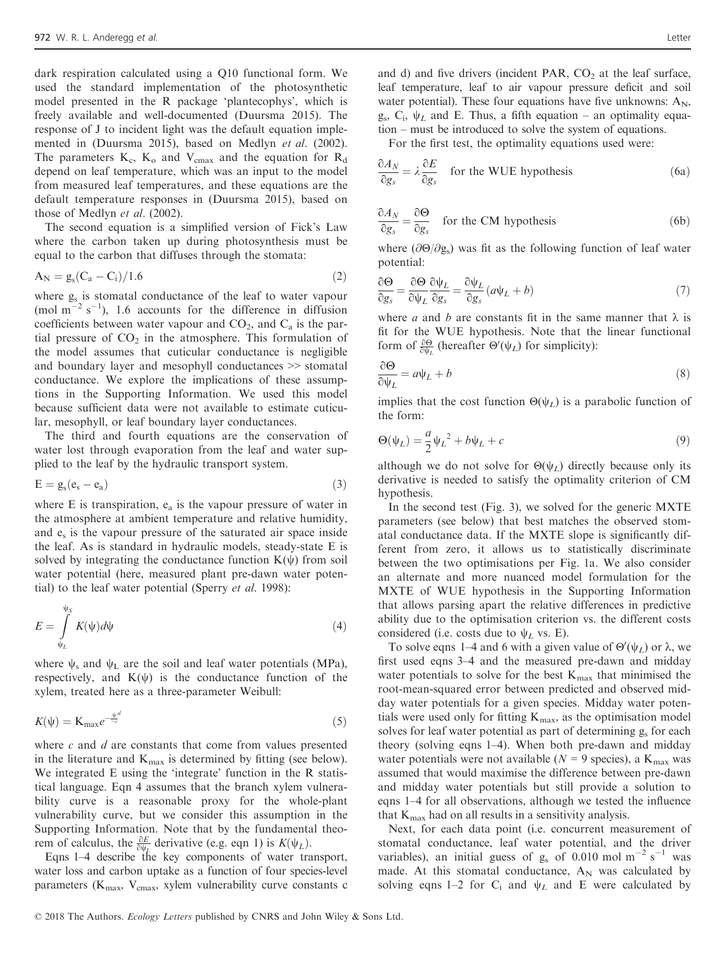dark respiration calculated using a Q10 functional form. We used the standard implementation of the photosynthetic model presented in the R package 'plantecophys', which is freely available and well-documented (Duursma 2015). The response of J to incident light was the default equation implemented in (Duursma 2015), based on Medlyn et al. (2002). The parameters  $K_c$ ,  $K_o$  and  $V_{cmax}$  and the equation for  $R_d$ depend on leaf temperature, which was an input to the model from measured leaf temperatures, and these equations are the default temperature responses in (Duursma 2015), based on those of Medlyn et al. (2002).

The second equation is a simplified version of Fick's Law where the carbon taken up during photosynthesis must be equal to the carbon that diffuses through the stomata:

$$
A_N = g_s (C_a - C_i)/1.6
$$
 (2)

where  $g_s$  is stomatal conductance of the leaf to water vapour (mol m<sup>-2</sup> s<sup>-1</sup>), 1.6 accounts for the difference in diffusion coefficients between water vapour and  $CO<sub>2</sub>$ , and  $C<sub>a</sub>$  is the partial pressure of  $CO<sub>2</sub>$  in the atmosphere. This formulation of the model assumes that cuticular conductance is negligible and boundary layer and mesophyll conductances >> stomatal conductance. We explore the implications of these assumptions in the Supporting Information. We used this model because sufficient data were not available to estimate cuticular, mesophyll, or leaf boundary layer conductances.

The third and fourth equations are the conservation of water lost through evaporation from the leaf and water supplied to the leaf by the hydraulic transport system.

$$
E = g_s(e_s - e_a)
$$
 (3)

where E is transpiration,  $e_a$  is the vapour pressure of water in the atmosphere at ambient temperature and relative humidity, and  $e_s$  is the vapour pressure of the saturated air space inside the leaf. As is standard in hydraulic models, steady-state E is solved by integrating the conductance function  $K(\psi)$  from soil water potential (here, measured plant pre-dawn water potential) to the leaf water potential (Sperry et al. 1998):

$$
E = \int_{\psi_L}^{\psi_S} K(\psi) d\psi \tag{4}
$$

where  $\psi_s$  and  $\psi_L$  are the soil and leaf water potentials (MPa), respectively, and  $K(\psi)$  is the conductance function of the xylem, treated here as a three-parameter Weibull:

$$
K(\psi) = \mathbf{K}_{\text{max}} e^{-\frac{\psi^d}{-c}} \tag{5}
$$

where  $c$  and  $d$  are constants that come from values presented in the literature and  $K_{\text{max}}$  is determined by fitting (see below). We integrated E using the 'integrate' function in the R statistical language. Eqn 4 assumes that the branch xylem vulnerability curve is a reasonable proxy for the whole-plant vulnerability curve, but we consider this assumption in the Supporting Information. Note that by the fundamental theorem of calculus, the  $\frac{\partial E}{\partial \psi_L}$  derivative (e.g. eqn 1) is  $K(\psi_L)$ .

Eqns 1–4 describe the key components of water transport, water loss and carbon uptake as a function of four species-level parameters ( $K_{\text{max}}$ ,  $V_{\text{cmax}}$ , xylem vulnerability curve constants c and d) and five drivers (incident PAR,  $CO<sub>2</sub>$  at the leaf surface, leaf temperature, leaf to air vapour pressure deficit and soil water potential). These four equations have five unknowns:  $A_N$ ,  $g_s$ ,  $C_i$ ,  $\psi_L$  and E. Thus, a fifth equation – an optimality equation – must be introduced to solve the system of equations.

For the first test, the optimality equations used were:

$$
\frac{\partial A_N}{\partial g_s} = \lambda \frac{\partial E}{\partial g_s}
$$
 for the WUE hypothesis (6a)

$$
\frac{\partial A_N}{\partial g_s} = \frac{\partial \Theta}{\partial g_s}
$$
 for the CM hypothesis (6b)

where ( $\partial \Theta/\partial g_s$ ) was fit as the following function of leaf water potential:

$$
\frac{\partial \Theta}{\partial g_s} = \frac{\partial \Theta}{\partial \psi_L} \frac{\partial \psi_L}{\partial g_s} = \frac{\partial \psi_L}{\partial g_s} (a\psi_L + b)
$$
\n(7)

where *a* and *b* are constants fit in the same manner that  $\lambda$  is fit for the WUE hypothesis. Note that the linear functional form of  $\frac{\partial \Theta}{\partial \psi_L}$  (hereafter  $\Theta'(\psi_L)$  for simplicity):

$$
\frac{\partial \Theta}{\partial \psi_L} = a\psi_L + b \tag{8}
$$

implies that the cost function  $\Theta(\psi_L)$  is a parabolic function of the form:

$$
\Theta(\psi_L) = \frac{a}{2}\psi_L^2 + b\psi_L + c \tag{9}
$$

although we do not solve for  $\Theta(\psi_L)$  directly because only its derivative is needed to satisfy the optimality criterion of CM hypothesis.

In the second test (Fig. 3), we solved for the generic MXTE parameters (see below) that best matches the observed stomatal conductance data. If the MXTE slope is significantly different from zero, it allows us to statistically discriminate between the two optimisations per Fig. 1a. We also consider an alternate and more nuanced model formulation for the MXTE of WUE hypothesis in the Supporting Information that allows parsing apart the relative differences in predictive ability due to the optimisation criterion vs. the different costs considered (i.e. costs due to  $\psi_L$  vs. E).

To solve eqns 1–4 and 6 with a given value of  $\Theta'(\psi_L)$  or  $\lambda$ , we first used eqns 3–4 and the measured pre-dawn and midday water potentials to solve for the best  $K_{\text{max}}$  that minimised the root-mean-squared error between predicted and observed midday water potentials for a given species. Midday water potentials were used only for fitting  $K_{\text{max}}$ , as the optimisation model solves for leaf water potential as part of determining  $g_s$  for each theory (solving eqns 1–4). When both pre-dawn and midday water potentials were not available ( $N = 9$  species), a K<sub>max</sub> was assumed that would maximise the difference between pre-dawn and midday water potentials but still provide a solution to eqns 1–4 for all observations, although we tested the influence that  $K_{\text{max}}$  had on all results in a sensitivity analysis.

Next, for each data point (i.e. concurrent measurement of stomatal conductance, leaf water potential, and the driver variables), an initial guess of  $g_s$  of 0.010 mol m<sup>-2</sup> s<sup>-1</sup> was made. At this stomatal conductance,  $A_N$  was calculated by solving eqns 1–2 for  $C_i$  and  $\psi_L$  and E were calculated by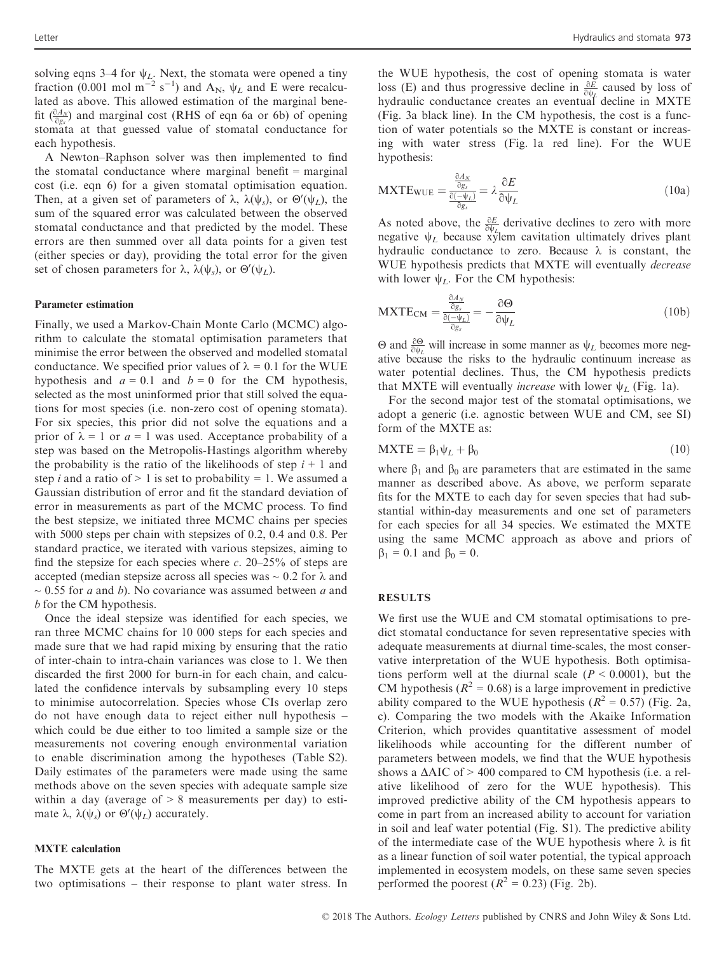solving eqns 3–4 for  $\psi_L$ . Next, the stomata were opened a tiny fraction (0.001 mol m<sup>-2</sup> s<sup>-1</sup>) and A<sub>N</sub>,  $\psi_L$  and E were recalculated as above. This allowed estimation of the marginal benefit  $\left(\frac{\partial A_N}{\partial g_s}\right)$  and marginal cost (RHS of eqn 6a or 6b) of opening stomata at that guessed value of stomatal conductance for each hypothesis.

A Newton–Raphson solver was then implemented to find the stomatal conductance where marginal benefit = marginal cost (i.e. eqn 6) for a given stomatal optimisation equation. Then, at a given set of parameters of  $\lambda$ ,  $\lambda(\psi_s)$ , or  $\Theta'(\psi_L)$ , the sum of the squared error was calculated between the observed stomatal conductance and that predicted by the model. These errors are then summed over all data points for a given test (either species or day), providing the total error for the given set of chosen parameters for  $\lambda$ ,  $\lambda(\psi_s)$ , or  $\Theta'(\psi_L)$ .

#### Parameter estimation

Finally, we used a Markov-Chain Monte Carlo (MCMC) algorithm to calculate the stomatal optimisation parameters that minimise the error between the observed and modelled stomatal conductance. We specified prior values of  $\lambda = 0.1$  for the WUE hypothesis and  $a = 0.1$  and  $b = 0$  for the CM hypothesis, selected as the most uninformed prior that still solved the equations for most species (i.e. non-zero cost of opening stomata). For six species, this prior did not solve the equations and a prior of  $\lambda = 1$  or  $a = 1$  was used. Acceptance probability of a step was based on the Metropolis-Hastings algorithm whereby the probability is the ratio of the likelihoods of step  $i + 1$  and step *i* and a ratio of  $> 1$  is set to probability = 1. We assumed a Gaussian distribution of error and fit the standard deviation of error in measurements as part of the MCMC process. To find the best stepsize, we initiated three MCMC chains per species with 5000 steps per chain with stepsizes of 0.2, 0.4 and 0.8. Per standard practice, we iterated with various stepsizes, aiming to find the stepsize for each species where  $c$ . 20–25% of steps are accepted (median stepsize across all species was  $\sim 0.2$  for  $\lambda$  and  $\sim$  0.55 for a and b). No covariance was assumed between a and b for the CM hypothesis.

Once the ideal stepsize was identified for each species, we ran three MCMC chains for 10 000 steps for each species and made sure that we had rapid mixing by ensuring that the ratio of inter-chain to intra-chain variances was close to 1. We then discarded the first 2000 for burn-in for each chain, and calculated the confidence intervals by subsampling every 10 steps to minimise autocorrelation. Species whose CIs overlap zero do not have enough data to reject either null hypothesis – which could be due either to too limited a sample size or the measurements not covering enough environmental variation to enable discrimination among the hypotheses (Table S2). Daily estimates of the parameters were made using the same methods above on the seven species with adequate sample size within a day (average of  $> 8$  measurements per day) to estimate λ, λ( $\psi_s$ ) or Θ'( $\psi_L$ ) accurately.

#### MXTE calculation

The MXTE gets at the heart of the differences between the two optimisations – their response to plant water stress. In the WUE hypothesis, the cost of opening stomata is water loss (E) and thus progressive decline in  $\frac{\partial E}{\partial \psi_L}$  caused by loss of hydraulic conductance creates an eventual decline in MXTE (Fig. 3a black line). In the CM hypothesis, the cost is a function of water potentials so the MXTE is constant or increasing with water stress (Fig. 1a red line). For the WUE hypothesis:

$$
MXTE_{WUE} = \frac{\frac{\partial A_N}{\partial g_s}}{\frac{\partial(-\psi_L)}{\partial g_s}} = \lambda \frac{\partial E}{\partial \psi_L}
$$
(10a)

As noted above, the  $\frac{\partial E}{\partial \psi_L}$  derivative declines to zero with more negative  $\psi_L$  because xylem cavitation ultimately drives plant hydraulic conductance to zero. Because  $\lambda$  is constant, the WUE hypothesis predicts that MXTE will eventually decrease with lower  $\psi_L$ . For the CM hypothesis:

$$
MXTE_{CM} = \frac{\frac{\partial A_N}{\partial g_s}}{\frac{\partial(-\psi_L)}{\partial g_s}} = -\frac{\partial \Theta}{\partial \psi_L}
$$
(10b)

Θ and  $\frac{\partial \Theta}{\partial \psi_L}$  will increase in some manner as  $\psi_L$  becomes more negative because the risks to the hydraulic continuum increase as water potential declines. Thus, the CM hypothesis predicts that MXTE will eventually *increase* with lower  $\psi_L$  (Fig. 1a).

For the second major test of the stomatal optimisations, we adopt a generic (i.e. agnostic between WUE and CM, see SI) form of the MXTE as:

$$
MXTE = \beta_1 \psi_L + \beta_0 \tag{10}
$$

where  $\beta_1$  and  $\beta_0$  are parameters that are estimated in the same manner as described above. As above, we perform separate fits for the MXTE to each day for seven species that had substantial within-day measurements and one set of parameters for each species for all 34 species. We estimated the MXTE using the same MCMC approach as above and priors of  $\beta_1 = 0.1$  and  $\beta_0 = 0$ .

#### RESULTS

We first use the WUE and CM stomatal optimisations to predict stomatal conductance for seven representative species with adequate measurements at diurnal time-scales, the most conservative interpretation of the WUE hypothesis. Both optimisations perform well at the diurnal scale  $(P < 0.0001)$ , but the CM hypothesis ( $R^2 = 0.68$ ) is a large improvement in predictive ability compared to the WUE hypothesis ( $R^2 = 0.57$ ) (Fig. 2a, c). Comparing the two models with the Akaike Information Criterion, which provides quantitative assessment of model likelihoods while accounting for the different number of parameters between models, we find that the WUE hypothesis shows a  $\triangle AIC$  of  $> 400$  compared to CM hypothesis (i.e. a relative likelihood of zero for the WUE hypothesis). This improved predictive ability of the CM hypothesis appears to come in part from an increased ability to account for variation in soil and leaf water potential (Fig. S1). The predictive ability of the intermediate case of the WUE hypothesis where  $\lambda$  is fit as a linear function of soil water potential, the typical approach implemented in ecosystem models, on these same seven species performed the poorest  $(R^2 = 0.23)$  (Fig. 2b).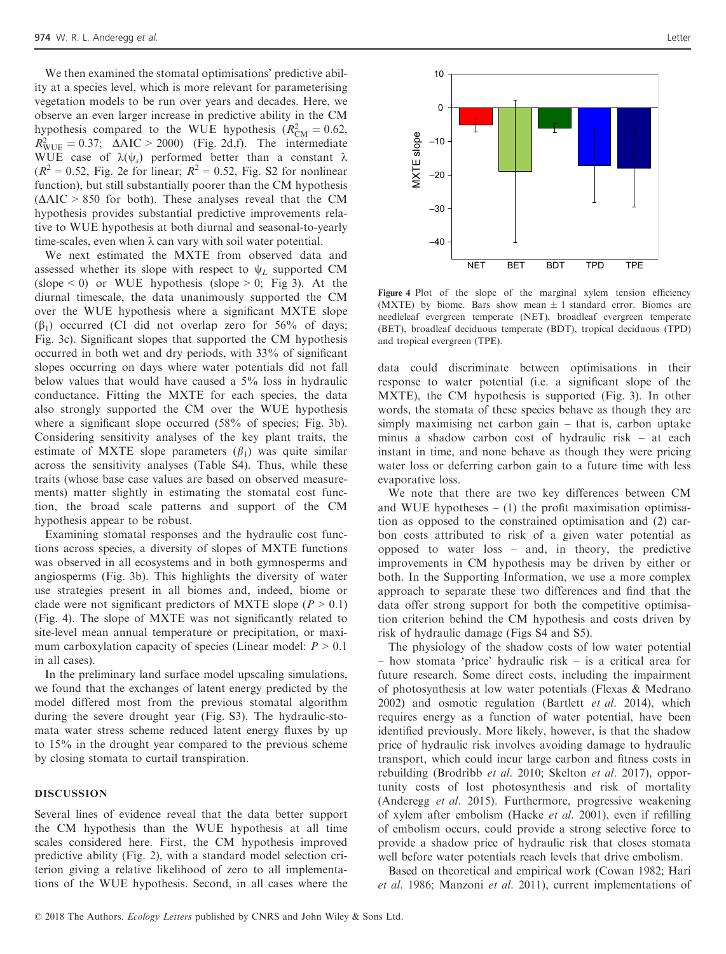We then examined the stomatal optimisations' predictive ability at a species level, which is more relevant for parameterising vegetation models to be run over years and decades. Here, we observe an even larger increase in predictive ability in the CM hypothesis compared to the WUE hypothesis  $(R_{CM}^2 = 0.62, R_{CM}^2 = 0.62)$  $R_{\text{WUE}}^2 = 0.37$ ;  $\Delta AIC > 2000$ ) (Fig. 2d,f). The intermediate WUE case of  $\lambda(\psi_s)$  performed better than a constant  $\lambda$  $(R^{2} = 0.52,$  Fig. 2e for linear;  $R^{2} = 0.52$ , Fig. S2 for nonlinear function), but still substantially poorer than the CM hypothesis  $(AAIC > 850$  for both). These analyses reveal that the CM hypothesis provides substantial predictive improvements relative to WUE hypothesis at both diurnal and seasonal-to-yearly time-scales, even when  $\lambda$  can vary with soil water potential.

We next estimated the MXTE from observed data and assessed whether its slope with respect to  $\psi_L$  supported CM (slope  $< 0$ ) or WUE hypothesis (slope  $> 0$ ; Fig 3). At the diurnal timescale, the data unanimously supported the CM over the WUE hypothesis where a significant MXTE slope  $(\beta_1)$  occurred (CI did not overlap zero for 56% of days; Fig. 3c). Significant slopes that supported the CM hypothesis occurred in both wet and dry periods, with 33% of significant slopes occurring on days where water potentials did not fall below values that would have caused a 5% loss in hydraulic conductance. Fitting the MXTE for each species, the data also strongly supported the CM over the WUE hypothesis where a significant slope occurred (58% of species; Fig. 3b). Considering sensitivity analyses of the key plant traits, the estimate of MXTE slope parameters  $(\beta_1)$  was quite similar across the sensitivity analyses (Table S4). Thus, while these traits (whose base case values are based on observed measurements) matter slightly in estimating the stomatal cost function, the broad scale patterns and support of the CM hypothesis appear to be robust.

Examining stomatal responses and the hydraulic cost functions across species, a diversity of slopes of MXTE functions was observed in all ecosystems and in both gymnosperms and angiosperms (Fig. 3b). This highlights the diversity of water use strategies present in all biomes and, indeed, biome or clade were not significant predictors of MXTE slope ( $P > 0.1$ ) (Fig. 4). The slope of MXTE was not significantly related to site-level mean annual temperature or precipitation, or maximum carboxylation capacity of species (Linear model:  $P > 0.1$ ) in all cases).

In the preliminary land surface model upscaling simulations, we found that the exchanges of latent energy predicted by the model differed most from the previous stomatal algorithm during the severe drought year (Fig. S3). The hydraulic-stomata water stress scheme reduced latent energy fluxes by up to 15% in the drought year compared to the previous scheme by closing stomata to curtail transpiration.

# DISCUSSION

Several lines of evidence reveal that the data better support the CM hypothesis than the WUE hypothesis at all time scales considered here. First, the CM hypothesis improved predictive ability (Fig. 2), with a standard model selection criterion giving a relative likelihood of zero to all implementations of the WUE hypothesis. Second, in all cases where the



Figure 4 Plot of the slope of the marginal xylem tension efficiency (MXTE) by biome. Bars show mean  $\pm$  1 standard error. Biomes are needleleaf evergreen temperate (NET), broadleaf evergreen temperate (BET), broadleaf deciduous temperate (BDT), tropical deciduous (TPD) and tropical evergreen (TPE).

data could discriminate between optimisations in their response to water potential (i.e. a significant slope of the MXTE), the CM hypothesis is supported (Fig. 3). In other words, the stomata of these species behave as though they are simply maximising net carbon gain – that is, carbon uptake minus a shadow carbon cost of hydraulic risk – at each instant in time, and none behave as though they were pricing water loss or deferring carbon gain to a future time with less evaporative loss.

We note that there are two key differences between CM and WUE hypotheses  $-$  (1) the profit maximisation optimisation as opposed to the constrained optimisation and (2) carbon costs attributed to risk of a given water potential as opposed to water loss – and, in theory, the predictive improvements in CM hypothesis may be driven by either or both. In the Supporting Information, we use a more complex approach to separate these two differences and find that the data offer strong support for both the competitive optimisation criterion behind the CM hypothesis and costs driven by risk of hydraulic damage (Figs S4 and S5).

The physiology of the shadow costs of low water potential – how stomata 'price' hydraulic risk – is a critical area for future research. Some direct costs, including the impairment of photosynthesis at low water potentials (Flexas & Medrano 2002) and osmotic regulation (Bartlett et al. 2014), which requires energy as a function of water potential, have been identified previously. More likely, however, is that the shadow price of hydraulic risk involves avoiding damage to hydraulic transport, which could incur large carbon and fitness costs in rebuilding (Brodribb et al. 2010; Skelton et al. 2017), opportunity costs of lost photosynthesis and risk of mortality (Anderegg et al. 2015). Furthermore, progressive weakening of xylem after embolism (Hacke et al. 2001), even if refilling of embolism occurs, could provide a strong selective force to provide a shadow price of hydraulic risk that closes stomata well before water potentials reach levels that drive embolism.

Based on theoretical and empirical work (Cowan 1982; Hari et al. 1986; Manzoni et al. 2011), current implementations of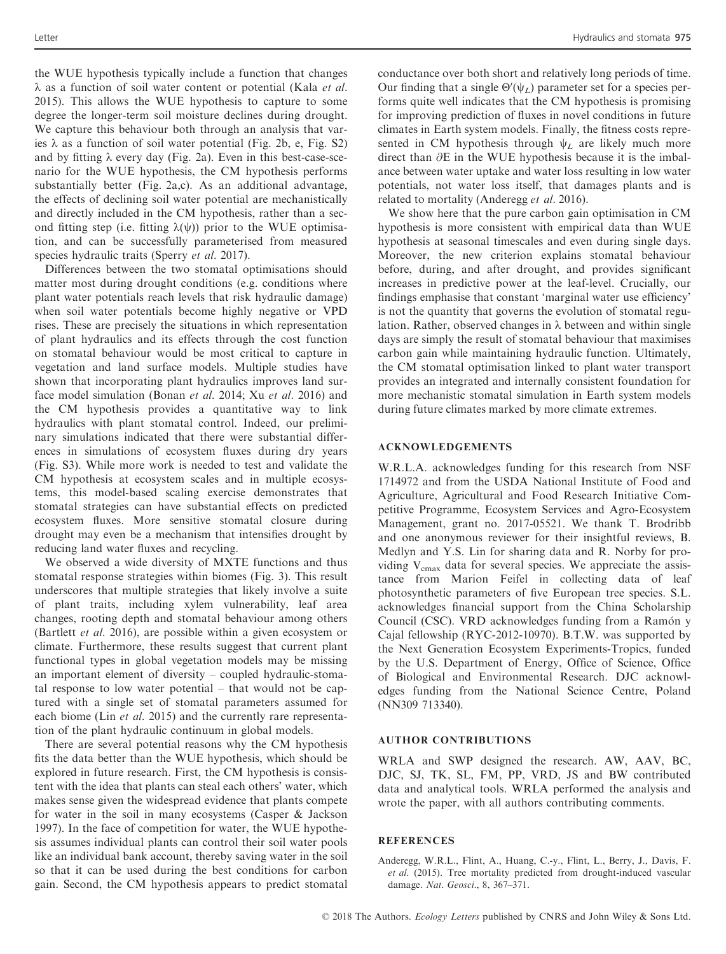the WUE hypothesis typically include a function that changes  $\lambda$  as a function of soil water content or potential (Kala et al. 2015). This allows the WUE hypothesis to capture to some degree the longer-term soil moisture declines during drought. We capture this behaviour both through an analysis that varies  $\lambda$  as a function of soil water potential (Fig. 2b, e, Fig. S2) and by fitting  $\lambda$  every day (Fig. 2a). Even in this best-case-scenario for the WUE hypothesis, the CM hypothesis performs substantially better (Fig. 2a,c). As an additional advantage, the effects of declining soil water potential are mechanistically and directly included in the CM hypothesis, rather than a second fitting step (i.e. fitting  $\lambda(\psi)$ ) prior to the WUE optimisation, and can be successfully parameterised from measured species hydraulic traits (Sperry et al. 2017).

Differences between the two stomatal optimisations should matter most during drought conditions (e.g. conditions where plant water potentials reach levels that risk hydraulic damage) when soil water potentials become highly negative or VPD rises. These are precisely the situations in which representation of plant hydraulics and its effects through the cost function on stomatal behaviour would be most critical to capture in vegetation and land surface models. Multiple studies have shown that incorporating plant hydraulics improves land surface model simulation (Bonan et al. 2014; Xu et al. 2016) and the CM hypothesis provides a quantitative way to link hydraulics with plant stomatal control. Indeed, our preliminary simulations indicated that there were substantial differences in simulations of ecosystem fluxes during dry years (Fig. S3). While more work is needed to test and validate the CM hypothesis at ecosystem scales and in multiple ecosystems, this model-based scaling exercise demonstrates that stomatal strategies can have substantial effects on predicted ecosystem fluxes. More sensitive stomatal closure during drought may even be a mechanism that intensifies drought by reducing land water fluxes and recycling.

We observed a wide diversity of MXTE functions and thus stomatal response strategies within biomes (Fig. 3). This result underscores that multiple strategies that likely involve a suite of plant traits, including xylem vulnerability, leaf area changes, rooting depth and stomatal behaviour among others (Bartlett et al. 2016), are possible within a given ecosystem or climate. Furthermore, these results suggest that current plant functional types in global vegetation models may be missing an important element of diversity – coupled hydraulic-stomatal response to low water potential – that would not be captured with a single set of stomatal parameters assumed for each biome (Lin *et al.* 2015) and the currently rare representation of the plant hydraulic continuum in global models.

There are several potential reasons why the CM hypothesis fits the data better than the WUE hypothesis, which should be explored in future research. First, the CM hypothesis is consistent with the idea that plants can steal each others' water, which makes sense given the widespread evidence that plants compete for water in the soil in many ecosystems (Casper & Jackson 1997). In the face of competition for water, the WUE hypothesis assumes individual plants can control their soil water pools like an individual bank account, thereby saving water in the soil so that it can be used during the best conditions for carbon gain. Second, the CM hypothesis appears to predict stomatal

conductance over both short and relatively long periods of time. Our finding that a single  $\Theta'(\psi_L)$  parameter set for a species performs quite well indicates that the CM hypothesis is promising for improving prediction of fluxes in novel conditions in future climates in Earth system models. Finally, the fitness costs represented in CM hypothesis through  $\psi_L$  are likely much more direct than  $\partial E$  in the WUE hypothesis because it is the imbalance between water uptake and water loss resulting in low water potentials, not water loss itself, that damages plants and is related to mortality (Anderegg et al. 2016).

We show here that the pure carbon gain optimisation in CM hypothesis is more consistent with empirical data than WUE hypothesis at seasonal timescales and even during single days. Moreover, the new criterion explains stomatal behaviour before, during, and after drought, and provides significant increases in predictive power at the leaf-level. Crucially, our findings emphasise that constant 'marginal water use efficiency' is not the quantity that governs the evolution of stomatal regulation. Rather, observed changes in  $\lambda$  between and within single days are simply the result of stomatal behaviour that maximises carbon gain while maintaining hydraulic function. Ultimately, the CM stomatal optimisation linked to plant water transport provides an integrated and internally consistent foundation for more mechanistic stomatal simulation in Earth system models during future climates marked by more climate extremes.

# ACKNOWLEDGEMENTS

W.R.L.A. acknowledges funding for this research from NSF 1714972 and from the USDA National Institute of Food and Agriculture, Agricultural and Food Research Initiative Competitive Programme, Ecosystem Services and Agro-Ecosystem Management, grant no. 2017-05521. We thank T. Brodribb and one anonymous reviewer for their insightful reviews, B. Medlyn and Y.S. Lin for sharing data and R. Norby for providing  $V_{cmax}$  data for several species. We appreciate the assistance from Marion Feifel in collecting data of leaf photosynthetic parameters of five European tree species. S.L. acknowledges financial support from the China Scholarship Council (CSC). VRD acknowledges funding from a Ramón y Cajal fellowship (RYC-2012-10970). B.T.W. was supported by the Next Generation Ecosystem Experiments-Tropics, funded by the U.S. Department of Energy, Office of Science, Office of Biological and Environmental Research. DJC acknowledges funding from the National Science Centre, Poland (NN309 713340).

# AUTHOR CONTRIBUTIONS

WRLA and SWP designed the research. AW, AAV, BC, DJC, SJ, TK, SL, FM, PP, VRD, JS and BW contributed data and analytical tools. WRLA performed the analysis and wrote the paper, with all authors contributing comments.

### **REFERENCES**

Anderegg, W.R.L., Flint, A., Huang, C.-y., Flint, L., Berry, J., Davis, F. et al. (2015). Tree mortality predicted from drought-induced vascular damage. Nat. Geosci., 8, 367–371.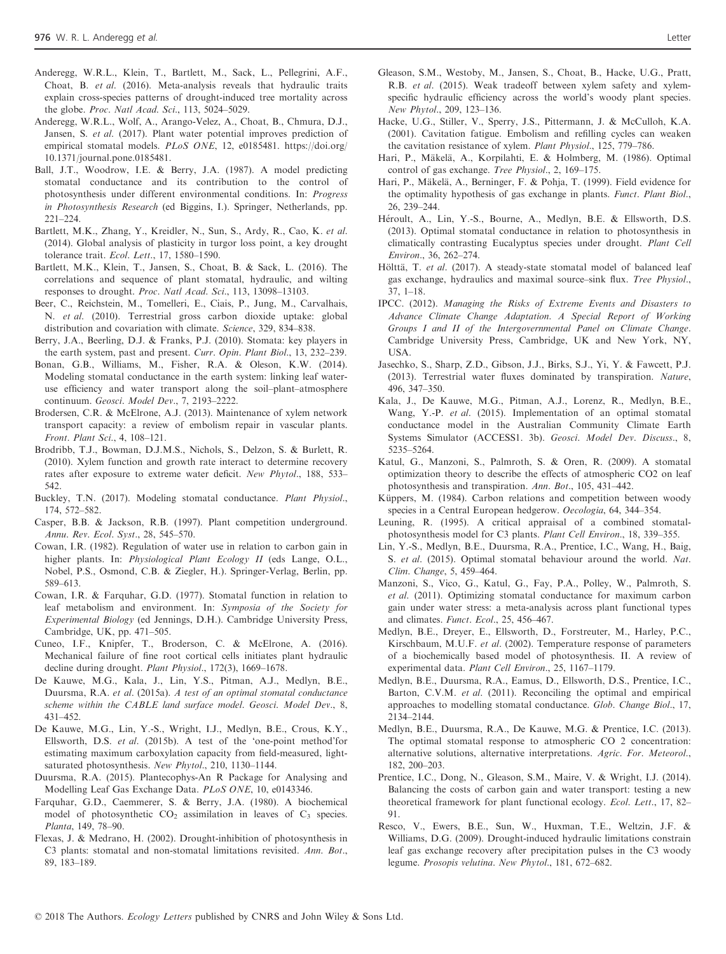- Anderegg, W.R.L., Klein, T., Bartlett, M., Sack, L., Pellegrini, A.F., Choat, B. et al. (2016). Meta-analysis reveals that hydraulic traits explain cross-species patterns of drought-induced tree mortality across the globe. Proc. Natl Acad. Sci., 113, 5024–5029.
- Anderegg, W.R.L., Wolf, A., Arango-Velez, A., Choat, B., Chmura, D.J., Jansen, S. et al. (2017). Plant water potential improves prediction of empirical stomatal models. PLoS ONE, 12, e0185481. [https://doi.org/](https://doi.org/10.1371/journal.pone.0185481) [10.1371/journal.pone.0185481.](https://doi.org/10.1371/journal.pone.0185481)
- Ball, J.T., Woodrow, I.E. & Berry, J.A. (1987). A model predicting stomatal conductance and its contribution to the control of photosynthesis under different environmental conditions. In: Progress in Photosynthesis Research (ed Biggins, I.). Springer, Netherlands, pp. 221–224.
- Bartlett, M.K., Zhang, Y., Kreidler, N., Sun, S., Ardy, R., Cao, K. et al. (2014). Global analysis of plasticity in turgor loss point, a key drought tolerance trait. Ecol. Lett., 17, 1580–1590.
- Bartlett, M.K., Klein, T., Jansen, S., Choat, B. & Sack, L. (2016). The correlations and sequence of plant stomatal, hydraulic, and wilting responses to drought. Proc. Natl Acad. Sci., 113, 13098–13103.
- Beer, C., Reichstein, M., Tomelleri, E., Ciais, P., Jung, M., Carvalhais, N. et al. (2010). Terrestrial gross carbon dioxide uptake: global distribution and covariation with climate. Science, 329, 834–838.
- Berry, J.A., Beerling, D.J. & Franks, P.J. (2010). Stomata: key players in the earth system, past and present. Curr. Opin. Plant Biol., 13, 232–239.
- Bonan, G.B., Williams, M., Fisher, R.A. & Oleson, K.W. (2014). Modeling stomatal conductance in the earth system: linking leaf wateruse efficiency and water transport along the soil–plant–atmosphere continuum. Geosci. Model Dev., 7, 2193–2222.
- Brodersen, C.R. & McElrone, A.J. (2013). Maintenance of xylem network transport capacity: a review of embolism repair in vascular plants. Front. Plant Sci., 4, 108–121.
- Brodribb, T.J., Bowman, D.J.M.S., Nichols, S., Delzon, S. & Burlett, R. (2010). Xylem function and growth rate interact to determine recovery rates after exposure to extreme water deficit. New Phytol., 188, 533– 542.
- Buckley, T.N. (2017). Modeling stomatal conductance. Plant Physiol., 174, 572–582.
- Casper, B.B. & Jackson, R.B. (1997). Plant competition underground. Annu. Rev. Ecol. Syst., 28, 545–570.
- Cowan, I.R. (1982). Regulation of water use in relation to carbon gain in higher plants. In: Physiological Plant Ecology II (eds Lange, O.L., Nobel, P.S., Osmond, C.B. & Ziegler, H.). Springer-Verlag, Berlin, pp. 589–613.
- Cowan, I.R. & Farquhar, G.D. (1977). Stomatal function in relation to leaf metabolism and environment. In: Symposia of the Society for Experimental Biology (ed Jennings, D.H.). Cambridge University Press, Cambridge, UK, pp. 471–505.
- Cuneo, I.F., Knipfer, T., Broderson, C. & McElrone, A. (2016). Mechanical failure of fine root cortical cells initiates plant hydraulic decline during drought. Plant Physiol., 172(3), 1669–1678.
- De Kauwe, M.G., Kala, J., Lin, Y.S., Pitman, A.J., Medlyn, B.E., Duursma, R.A. et al. (2015a). A test of an optimal stomatal conductance scheme within the CABLE land surface model. Geosci. Model Dev., 8, 431–452.
- De Kauwe, M.G., Lin, Y.-S., Wright, I.J., Medlyn, B.E., Crous, K.Y., Ellsworth, D.S. et al. (2015b). A test of the 'one-point method'for estimating maximum carboxylation capacity from field-measured, lightsaturated photosynthesis. New Phytol., 210, 1130–1144.
- Duursma, R.A. (2015). Plantecophys-An R Package for Analysing and Modelling Leaf Gas Exchange Data. PLoS ONE, 10, e0143346.
- Farquhar, G.D., Caemmerer, S. & Berry, J.A. (1980). A biochemical model of photosynthetic  $CO<sub>2</sub>$  assimilation in leaves of  $C<sub>3</sub>$  species. Planta, 149, 78–90.
- Flexas, J. & Medrano, H. (2002). Drought-inhibition of photosynthesis in C3 plants: stomatal and non-stomatal limitations revisited. Ann. Bot., 89, 183–189.
- Gleason, S.M., Westoby, M., Jansen, S., Choat, B., Hacke, U.G., Pratt, R.B. et al. (2015). Weak tradeoff between xylem safety and xylemspecific hydraulic efficiency across the world's woody plant species. New Phytol., 209, 123–136.
- Hacke, U.G., Stiller, V., Sperry, J.S., Pittermann, J. & McCulloh, K.A. (2001). Cavitation fatigue. Embolism and refilling cycles can weaken the cavitation resistance of xylem. Plant Physiol., 125, 779–786.
- Hari, P., Mäkelä, A., Korpilahti, E. & Holmberg, M. (1986). Optimal control of gas exchange. Tree Physiol., 2, 169–175.
- Hari, P., Mäkelä, A., Berninger, F. & Pohja, T. (1999). Field evidence for the optimality hypothesis of gas exchange in plants. Funct. Plant Biol., 26, 239–244.
- Heroult, A., Lin, Y.-S., Bourne, A., Medlyn, B.E. & Ellsworth, D.S. (2013). Optimal stomatal conductance in relation to photosynthesis in climatically contrasting Eucalyptus species under drought. Plant Cell Environ., 36, 262–274.
- Hölttä, T. et al. (2017). A steady-state stomatal model of balanced leaf gas exchange, hydraulics and maximal source–sink flux. Tree Physiol., 37, 1–18.
- IPCC. (2012). Managing the Risks of Extreme Events and Disasters to Advance Climate Change Adaptation. A Special Report of Working Groups I and II of the Intergovernmental Panel on Climate Change. Cambridge University Press, Cambridge, UK and New York, NY, USA.
- Jasechko, S., Sharp, Z.D., Gibson, J.J., Birks, S.J., Yi, Y. & Fawcett, P.J. (2013). Terrestrial water fluxes dominated by transpiration. Nature, 496, 347–350.
- Kala, J., De Kauwe, M.G., Pitman, A.J., Lorenz, R., Medlyn, B.E., Wang, Y.-P. et al. (2015). Implementation of an optimal stomatal conductance model in the Australian Community Climate Earth Systems Simulator (ACCESS1. 3b). Geosci. Model Dev. Discuss., 8, 5235–5264.
- Katul, G., Manzoni, S., Palmroth, S. & Oren, R. (2009). A stomatal optimization theory to describe the effects of atmospheric CO2 on leaf photosynthesis and transpiration. Ann. Bot., 105, 431–442.
- Küppers, M. (1984). Carbon relations and competition between woody species in a Central European hedgerow. Oecologia, 64, 344–354.
- Leuning, R. (1995). A critical appraisal of a combined stomatalphotosynthesis model for C3 plants. Plant Cell Environ., 18, 339–355.
- Lin, Y.-S., Medlyn, B.E., Duursma, R.A., Prentice, I.C., Wang, H., Baig, S. et al. (2015). Optimal stomatal behaviour around the world. Nat. Clim. Change, 5, 459–464.
- Manzoni, S., Vico, G., Katul, G., Fay, P.A., Polley, W., Palmroth, S. et al. (2011). Optimizing stomatal conductance for maximum carbon gain under water stress: a meta-analysis across plant functional types and climates. Funct. Ecol., 25, 456–467.
- Medlyn, B.E., Dreyer, E., Ellsworth, D., Forstreuter, M., Harley, P.C., Kirschbaum, M.U.F. et al. (2002). Temperature response of parameters of a biochemically based model of photosynthesis. II. A review of experimental data. Plant Cell Environ., 25, 1167–1179.
- Medlyn, B.E., Duursma, R.A., Eamus, D., Ellsworth, D.S., Prentice, I.C., Barton, C.V.M. et al. (2011). Reconciling the optimal and empirical approaches to modelling stomatal conductance. Glob. Change Biol., 17, 2134–2144.
- Medlyn, B.E., Duursma, R.A., De Kauwe, M.G. & Prentice, I.C. (2013). The optimal stomatal response to atmospheric CO 2 concentration: alternative solutions, alternative interpretations. Agric. For. Meteorol., 182, 200–203.
- Prentice, I.C., Dong, N., Gleason, S.M., Maire, V. & Wright, I.J. (2014). Balancing the costs of carbon gain and water transport: testing a new theoretical framework for plant functional ecology. Ecol. Lett., 17, 82– 91.
- Resco, V., Ewers, B.E., Sun, W., Huxman, T.E., Weltzin, J.F. & Williams, D.G. (2009). Drought-induced hydraulic limitations constrain leaf gas exchange recovery after precipitation pulses in the C3 woody legume. Prosopis velutina. New Phytol., 181, 672–682.